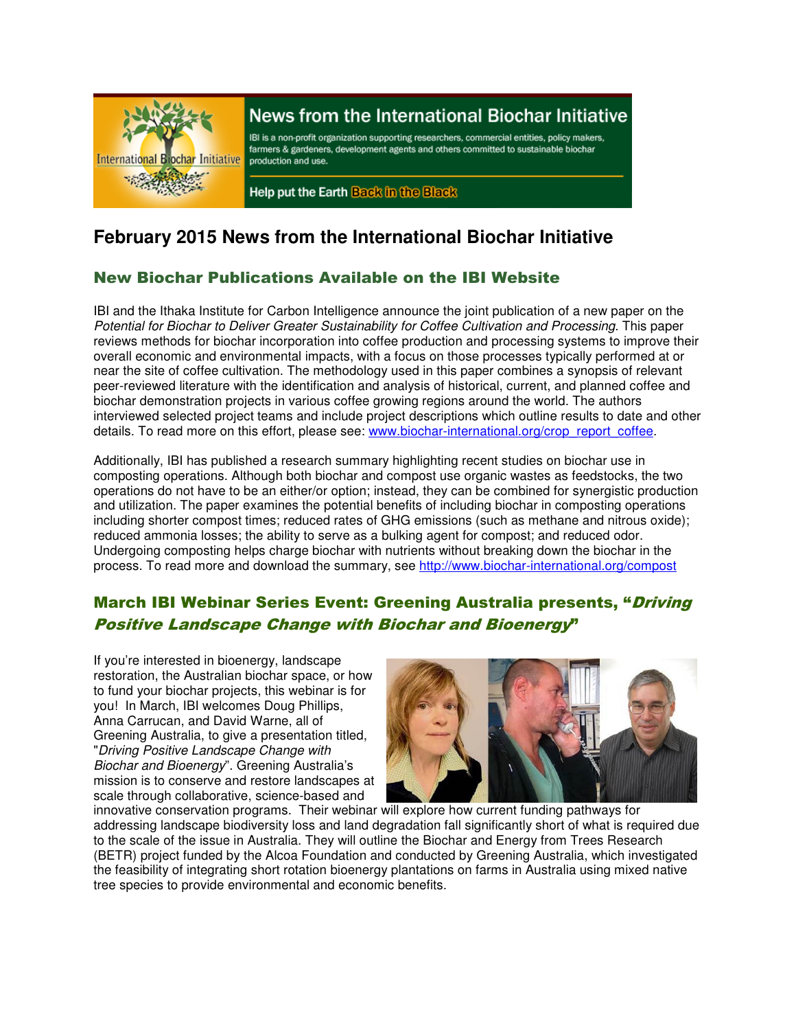

# News from the International Biochar Initiative

IBI is a non-profit organization supporting researchers, commercial entities, policy makers, farmers & gardeners, development agents and others committed to sustainable biochar production and use.

Help put the Earth Back in the Black

# **February 2015 News from the International Biochar Initiative**

### New Biochar Publications Available on the IBI Website

IBI and the Ithaka Institute for Carbon Intelligence announce the joint publication of a new paper on the Potential for Biochar to Deliver Greater Sustainability for Coffee Cultivation and Processing. This paper reviews methods for biochar incorporation into coffee production and processing systems to improve their overall economic and environmental impacts, with a focus on those processes typically performed at or near the site of coffee cultivation. The methodology used in this paper combines a synopsis of relevant peer-reviewed literature with the identification and analysis of historical, current, and planned coffee and biochar demonstration projects in various coffee growing regions around the world. The authors interviewed selected project teams and include project descriptions which outline results to date and other details. To read more on this effort, please see: www.biochar-international.org/crop\_report\_coffee.

Additionally, IBI has published a research summary highlighting recent studies on biochar use in composting operations. Although both biochar and compost use organic wastes as feedstocks, the two operations do not have to be an either/or option; instead, they can be combined for synergistic production and utilization. The paper examines the potential benefits of including biochar in composting operations including shorter compost times; reduced rates of GHG emissions (such as methane and nitrous oxide); reduced ammonia losses; the ability to serve as a bulking agent for compost; and reduced odor. Undergoing composting helps charge biochar with nutrients without breaking down the biochar in the process. To read more and download the summary, see http://www.biochar-international.org/compost

## March IBI Webinar Series Event: Greening Australia presents, "Driving Positive Landscape Change with Biochar and Bioenergy"

If you're interested in bioenergy, landscape restoration, the Australian biochar space, or how to fund your biochar projects, this webinar is for you! In March, IBI welcomes Doug Phillips, Anna Carrucan, and David Warne, all of Greening Australia, to give a presentation titled, "Driving Positive Landscape Change with Biochar and Bioenergy". Greening Australia's mission is to conserve and restore landscapes at scale through collaborative, science-based and



innovative conservation programs. Their webinar will explore how current funding pathways for addressing landscape biodiversity loss and land degradation fall significantly short of what is required due to the scale of the issue in Australia. They will outline the Biochar and Energy from Trees Research (BETR) project funded by the Alcoa Foundation and conducted by Greening Australia, which investigated the feasibility of integrating short rotation bioenergy plantations on farms in Australia using mixed native tree species to provide environmental and economic benefits.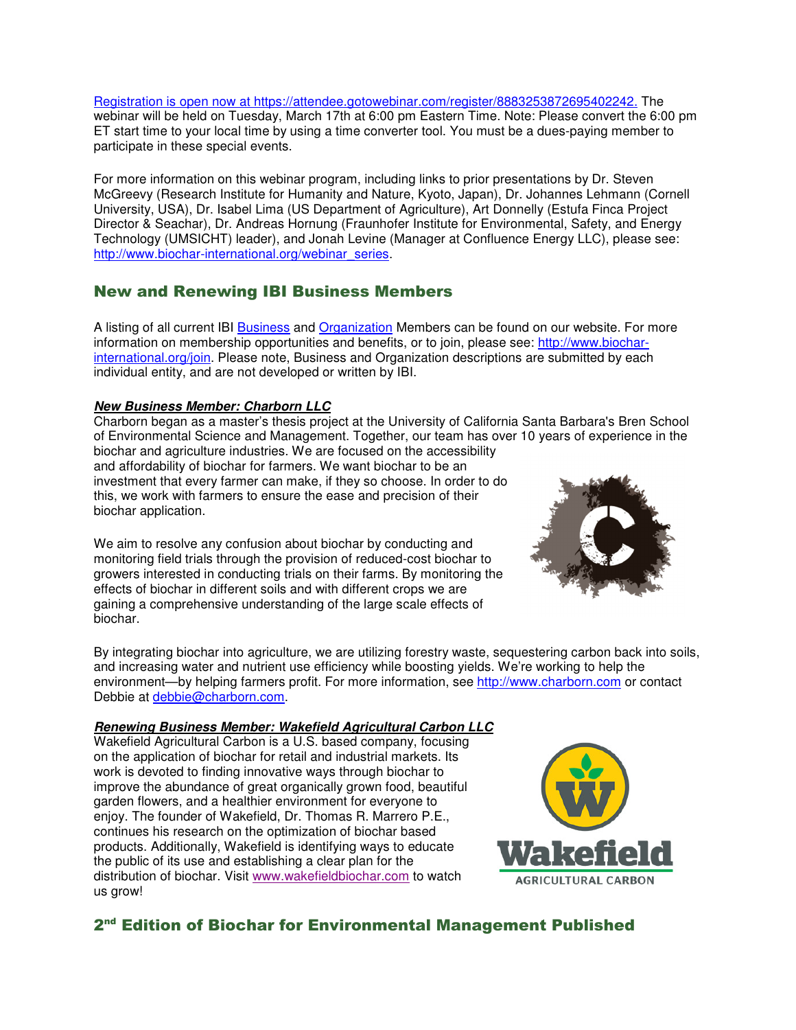Registration is open now at https://attendee.gotowebinar.com/register/8883253872695402242. The webinar will be held on Tuesday, March 17th at 6:00 pm Eastern Time. Note: Please convert the 6:00 pm ET start time to your local time by using a time converter tool. You must be a dues-paying member to participate in these special events.

For more information on this webinar program, including links to prior presentations by Dr. Steven McGreevy (Research Institute for Humanity and Nature, Kyoto, Japan), Dr. Johannes Lehmann (Cornell University, USA), Dr. Isabel Lima (US Department of Agriculture), Art Donnelly (Estufa Finca Project Director & Seachar), Dr. Andreas Hornung (Fraunhofer Institute for Environmental, Safety, and Energy Technology (UMSICHT) leader), and Jonah Levine (Manager at Confluence Energy LLC), please see: http://www.biochar-international.org/webinar\_series.

### New and Renewing IBI Business Members

A listing of all current IBI Business and Organization Members can be found on our website. For more information on membership opportunities and benefits, or to join, please see: http://www.biocharinternational.org/join. Please note, Business and Organization descriptions are submitted by each individual entity, and are not developed or written by IBI.

#### **New Business Member: Charborn LLC**

Charborn began as a master's thesis project at the University of California Santa Barbara's Bren School of Environmental Science and Management. Together, our team has over 10 years of experience in the biochar and agriculture industries. We are focused on the accessibility and affordability of biochar for farmers. We want biochar to be an

investment that every farmer can make, if they so choose. In order to do this, we work with farmers to ensure the ease and precision of their biochar application.

We aim to resolve any confusion about biochar by conducting and monitoring field trials through the provision of reduced-cost biochar to growers interested in conducting trials on their farms. By monitoring the effects of biochar in different soils and with different crops we are gaining a comprehensive understanding of the large scale effects of biochar.



By integrating biochar into agriculture, we are utilizing forestry waste, sequestering carbon back into soils, and increasing water and nutrient use efficiency while boosting yields. We're working to help the environment—by helping farmers profit. For more information, see http://www.charborn.com or contact Debbie at debbie@charborn.com.

#### **Renewing Business Member: Wakefield Agricultural Carbon LLC**

Wakefield Agricultural Carbon is a U.S. based company, focusing on the application of biochar for retail and industrial markets. Its work is devoted to finding innovative ways through biochar to improve the abundance of great organically grown food, beautiful garden flowers, and a healthier environment for everyone to enjoy. The founder of Wakefield, Dr. Thomas R. Marrero P.E., continues his research on the optimization of biochar based products. Additionally, Wakefield is identifying ways to educate the public of its use and establishing a clear plan for the distribution of biochar. Visit www.wakefieldbiochar.com to watch us grow!



### 2<sup>nd</sup> Edition of Biochar for Environmental Management Published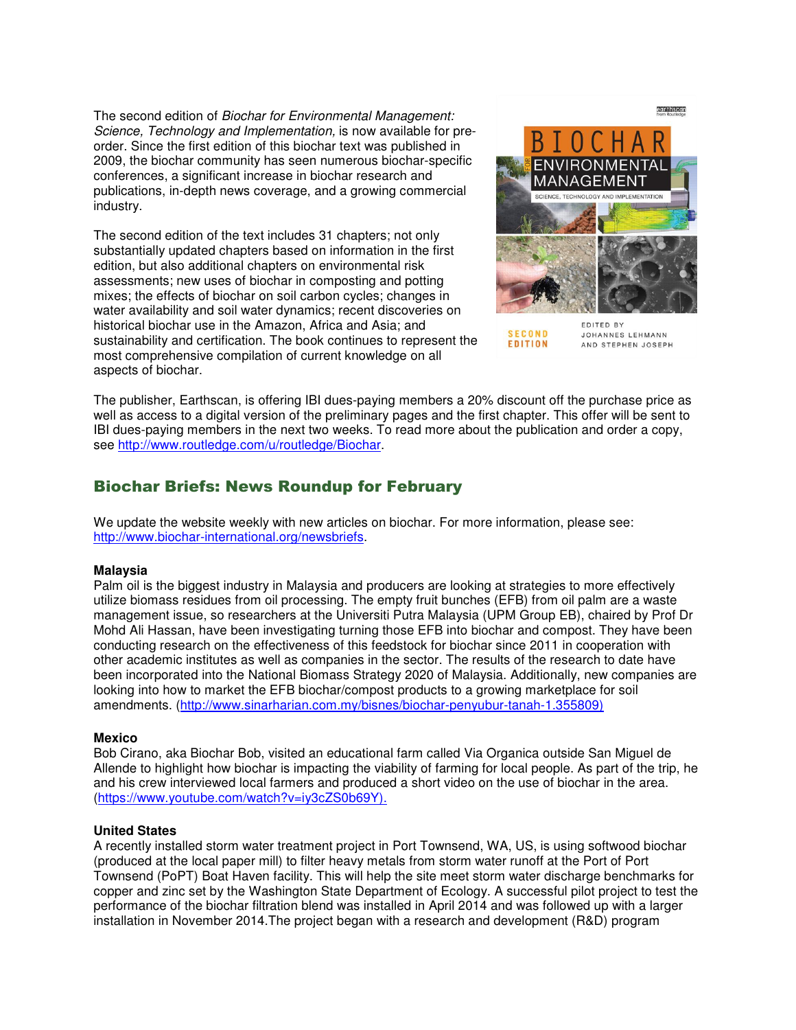The second edition of Biochar for Environmental Management: Science, Technology and Implementation, is now available for preorder. Since the first edition of this biochar text was published in 2009, the biochar community has seen numerous biochar-specific conferences, a significant increase in biochar research and publications, in-depth news coverage, and a growing commercial industry.

The second edition of the text includes 31 chapters; not only substantially updated chapters based on information in the first edition, but also additional chapters on environmental risk assessments; new uses of biochar in composting and potting mixes; the effects of biochar on soil carbon cycles; changes in water availability and soil water dynamics; recent discoveries on historical biochar use in the Amazon, Africa and Asia; and sustainability and certification. The book continues to represent the most comprehensive compilation of current knowledge on all aspects of biochar.



JOHANNES LEHMANN AND STEPHEN JOSEPH

**SECOND** 

EDITION

The publisher, Earthscan, is offering IBI dues-paying members a 20% discount off the purchase price as well as access to a digital version of the preliminary pages and the first chapter. This offer will be sent to IBI dues-paying members in the next two weeks. To read more about the publication and order a copy, see http://www.routledge.com/u/routledge/Biochar.

### Biochar Briefs: News Roundup for February

We update the website weekly with new articles on biochar. For more information, please see: http://www.biochar-international.org/newsbriefs.

#### **Malaysia**

Palm oil is the biggest industry in Malaysia and producers are looking at strategies to more effectively utilize biomass residues from oil processing. The empty fruit bunches (EFB) from oil palm are a waste management issue, so researchers at the Universiti Putra Malaysia (UPM Group EB), chaired by Prof Dr Mohd Ali Hassan, have been investigating turning those EFB into biochar and compost. They have been conducting research on the effectiveness of this feedstock for biochar since 2011 in cooperation with other academic institutes as well as companies in the sector. The results of the research to date have been incorporated into the National Biomass Strategy 2020 of Malaysia. Additionally, new companies are looking into how to market the EFB biochar/compost products to a growing marketplace for soil amendments. (http://www.sinarharian.com.my/bisnes/biochar-penyubur-tanah-1.355809)

#### **Mexico**

Bob Cirano, aka Biochar Bob, visited an educational farm called Via Organica outside San Miguel de Allende to highlight how biochar is impacting the viability of farming for local people. As part of the trip, he and his crew interviewed local farmers and produced a short video on the use of biochar in the area. (https://www.youtube.com/watch?v=iy3cZS0b69Y).

#### **United States**

A recently installed storm water treatment project in Port Townsend, WA, US, is using softwood biochar (produced at the local paper mill) to filter heavy metals from storm water runoff at the Port of Port Townsend (PoPT) Boat Haven facility. This will help the site meet storm water discharge benchmarks for copper and zinc set by the Washington State Department of Ecology. A successful pilot project to test the performance of the biochar filtration blend was installed in April 2014 and was followed up with a larger installation in November 2014.The project began with a research and development (R&D) program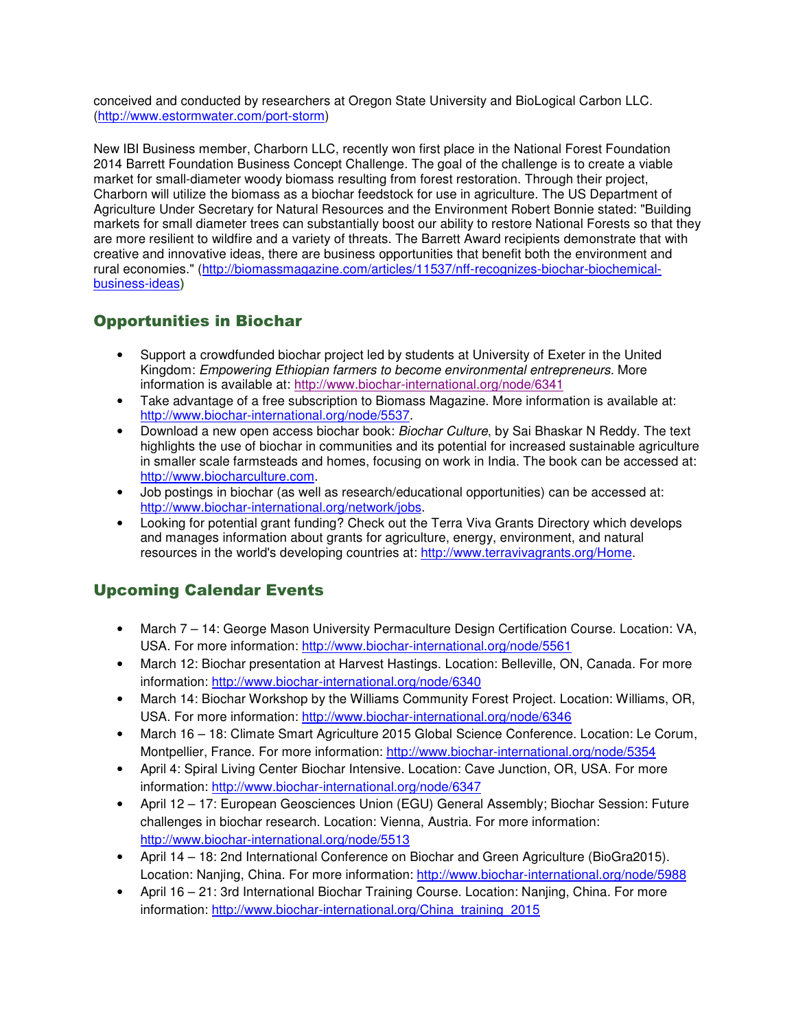conceived and conducted by researchers at Oregon State University and BioLogical Carbon LLC. (http://www.estormwater.com/port-storm)

New IBI Business member, Charborn LLC, recently won first place in the National Forest Foundation 2014 Barrett Foundation Business Concept Challenge. The goal of the challenge is to create a viable market for small-diameter woody biomass resulting from forest restoration. Through their project, Charborn will utilize the biomass as a biochar feedstock for use in agriculture. The US Department of Agriculture Under Secretary for Natural Resources and the Environment Robert Bonnie stated: "Building markets for small diameter trees can substantially boost our ability to restore National Forests so that they are more resilient to wildfire and a variety of threats. The Barrett Award recipients demonstrate that with creative and innovative ideas, there are business opportunities that benefit both the environment and rural economies." (http://biomassmagazine.com/articles/11537/nff-recognizes-biochar-biochemicalbusiness-ideas**)**

# Opportunities in Biochar

- Support a crowdfunded biochar project led by students at University of Exeter in the United Kingdom: Empowering Ethiopian farmers to become environmental entrepreneurs. More information is available at: http://www.biochar-international.org/node/6341
- Take advantage of a free subscription to Biomass Magazine. More information is available at: http://www.biochar-international.org/node/5537.
- Download a new open access biochar book: Biochar Culture, by Sai Bhaskar N Reddy. The text highlights the use of biochar in communities and its potential for increased sustainable agriculture in smaller scale farmsteads and homes, focusing on work in India. The book can be accessed at: http://www.biocharculture.com.
- Job postings in biochar (as well as research/educational opportunities) can be accessed at: http://www.biochar-international.org/network/jobs.
- Looking for potential grant funding? Check out the Terra Viva Grants Directory which develops and manages information about grants for agriculture, energy, environment, and natural resources in the world's developing countries at: http://www.terravivagrants.org/Home.

# Upcoming Calendar Events

- March 7 14: George Mason University Permaculture Design Certification Course. Location: VA, USA. For more information: http://www.biochar-international.org/node/5561
- March 12: Biochar presentation at Harvest Hastings. Location: Belleville, ON, Canada. For more information: http://www.biochar-international.org/node/6340
- March 14: Biochar Workshop by the Williams Community Forest Project. Location: Williams, OR, USA. For more information: http://www.biochar-international.org/node/6346
- March 16 18: Climate Smart Agriculture 2015 Global Science Conference. Location: Le Corum, Montpellier, France. For more information: http://www.biochar-international.org/node/5354
- April 4: Spiral Living Center Biochar Intensive. Location: Cave Junction, OR, USA. For more information: http://www.biochar-international.org/node/6347
- April 12 17: European Geosciences Union (EGU) General Assembly; Biochar Session: Future challenges in biochar research. Location: Vienna, Austria. For more information: http://www.biochar-international.org/node/5513
- April 14 18: 2nd International Conference on Biochar and Green Agriculture (BioGra2015). Location: Nanjing, China. For more information: http://www.biochar-international.org/node/5988
- April 16 21: 3rd International Biochar Training Course. Location: Nanjing, China. For more information: http://www.biochar-international.org/China\_training\_2015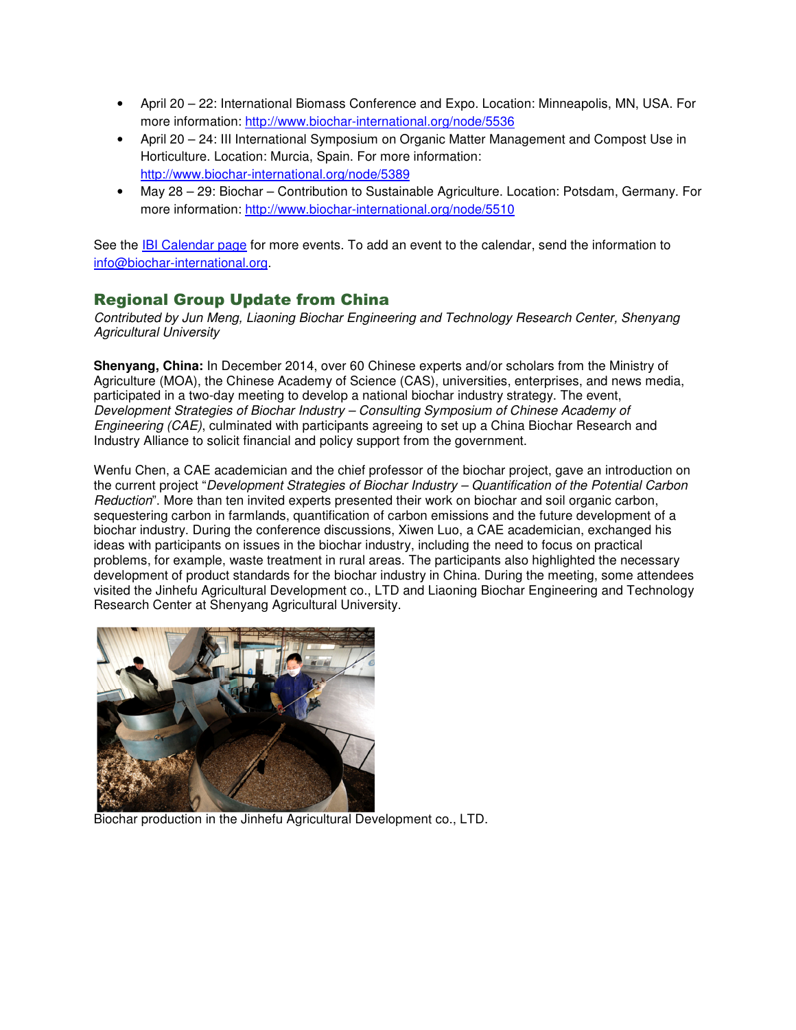- April 20 22: International Biomass Conference and Expo. Location: Minneapolis, MN, USA. For more information: http://www.biochar-international.org/node/5536
- April 20 24: III International Symposium on Organic Matter Management and Compost Use in Horticulture. Location: Murcia, Spain. For more information: http://www.biochar-international.org/node/5389
- May 28 29: Biochar Contribution to Sustainable Agriculture. Location: Potsdam, Germany. For more information: http://www.biochar-international.org/node/5510

See the IBI Calendar page for more events. To add an event to the calendar, send the information to info@biochar-international.org.

#### Regional Group Update from China

Contributed by Jun Meng, Liaoning Biochar Engineering and Technology Research Center, Shenyang Agricultural University

**Shenyang, China:** In December 2014, over 60 Chinese experts and/or scholars from the Ministry of Agriculture (MOA), the Chinese Academy of Science (CAS), universities, enterprises, and news media, participated in a two-day meeting to develop a national biochar industry strategy. The event, Development Strategies of Biochar Industry – Consulting Symposium of Chinese Academy of Engineering (CAE), culminated with participants agreeing to set up a China Biochar Research and Industry Alliance to solicit financial and policy support from the government.

Wenfu Chen, a CAE academician and the chief professor of the biochar project, gave an introduction on the current project "Development Strategies of Biochar Industry – Quantification of the Potential Carbon Reduction". More than ten invited experts presented their work on biochar and soil organic carbon, sequestering carbon in farmlands, quantification of carbon emissions and the future development of a biochar industry. During the conference discussions, Xiwen Luo, a CAE academician, exchanged his ideas with participants on issues in the biochar industry, including the need to focus on practical problems, for example, waste treatment in rural areas. The participants also highlighted the necessary development of product standards for the biochar industry in China. During the meeting, some attendees visited the Jinhefu Agricultural Development co., LTD and Liaoning Biochar Engineering and Technology Research Center at Shenyang Agricultural University.



Biochar production in the Jinhefu Agricultural Development co., LTD.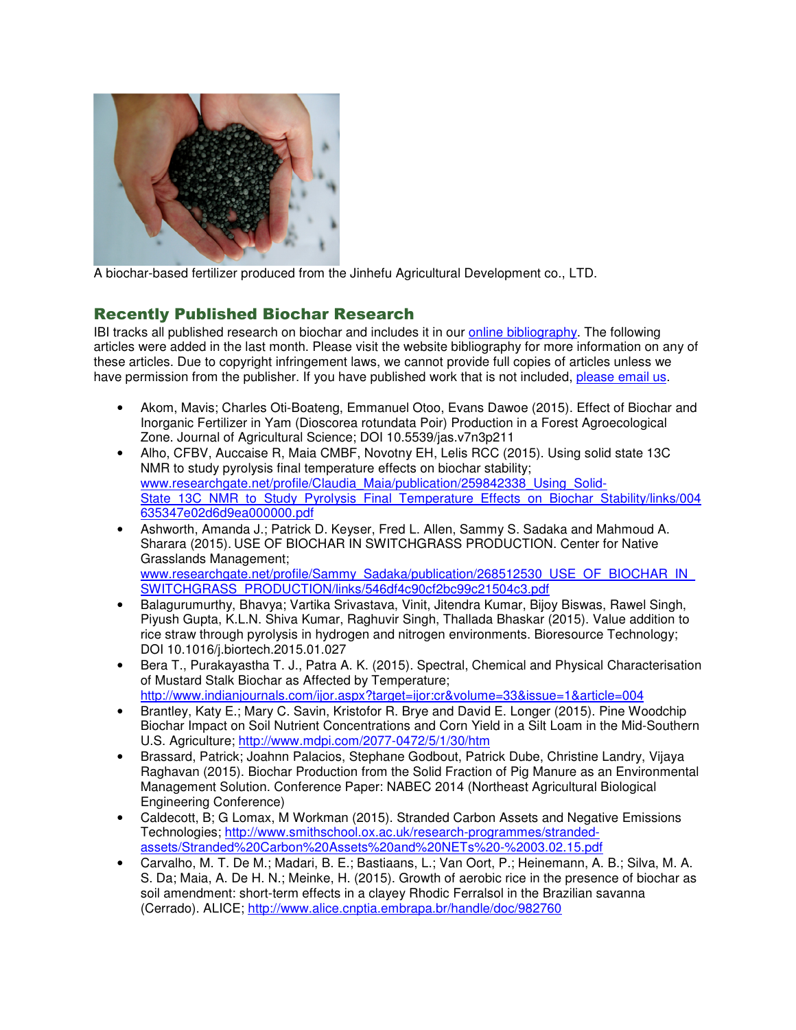

A biochar-based fertilizer produced from the Jinhefu Agricultural Development co., LTD.

### Recently Published Biochar Research

IBI tracks all published research on biochar and includes it in our online bibliography. The following articles were added in the last month. Please visit the website bibliography for more information on any of these articles. Due to copyright infringement laws, we cannot provide full copies of articles unless we have permission from the publisher. If you have published work that is not included, please email us.

- Akom, Mavis; Charles Oti-Boateng, Emmanuel Otoo, Evans Dawoe (2015). Effect of Biochar and Inorganic Fertilizer in Yam (Dioscorea rotundata Poir) Production in a Forest Agroecological Zone. Journal of Agricultural Science; DOI 10.5539/jas.v7n3p211
- Alho, CFBV, Auccaise R, Maia CMBF, Novotny EH, Lelis RCC (2015). Using solid state 13C NMR to study pyrolysis final temperature effects on biochar stability; www.researchgate.net/profile/Claudia\_Maia/publication/259842338\_Using\_Solid-State\_13C\_NMR\_to\_Study\_Pyrolysis\_Final\_Temperature\_Effects\_on\_Biochar\_Stability/links/004 635347e02d6d9ea000000.pdf
- Ashworth, Amanda J.; Patrick D. Keyser, Fred L. Allen, Sammy S. Sadaka and Mahmoud A. Sharara (2015). USE OF BIOCHAR IN SWITCHGRASS PRODUCTION. Center for Native Grasslands Management; www.researchgate.net/profile/Sammy\_Sadaka/publication/268512530\_USE\_OF\_BIOCHAR\_IN SWITCHGRASS\_PRODUCTION/links/546df4c90cf2bc99c21504c3.pdf
- Balagurumurthy, Bhavya; Vartika Srivastava, Vinit, Jitendra Kumar, Bijoy Biswas, Rawel Singh, Piyush Gupta, K.L.N. Shiva Kumar, Raghuvir Singh, Thallada Bhaskar (2015). Value addition to rice straw through pyrolysis in hydrogen and nitrogen environments. Bioresource Technology; DOI 10.1016/j.biortech.2015.01.027
- Bera T., Purakayastha T. J., Patra A. K. (2015). Spectral, Chemical and Physical Characterisation of Mustard Stalk Biochar as Affected by Temperature; http://www.indianjournals.com/ijor.aspx?target=ijor:cr&volume=33&issue=1&article=004
- Brantley, Katy E.; Mary C. Savin, Kristofor R. Brye and David E. Longer (2015). Pine Woodchip Biochar Impact on Soil Nutrient Concentrations and Corn Yield in a Silt Loam in the Mid-Southern U.S. Agriculture; http://www.mdpi.com/2077-0472/5/1/30/htm
- Brassard, Patrick; Joahnn Palacios, Stephane Godbout, Patrick Dube, Christine Landry, Vijaya Raghavan (2015). Biochar Production from the Solid Fraction of Pig Manure as an Environmental Management Solution. Conference Paper: NABEC 2014 (Northeast Agricultural Biological Engineering Conference)
- Caldecott, B; G Lomax, M Workman (2015). Stranded Carbon Assets and Negative Emissions Technologies; http://www.smithschool.ox.ac.uk/research-programmes/strandedassets/Stranded%20Carbon%20Assets%20and%20NETs%20-%2003.02.15.pdf
- Carvalho, M. T. De M.; Madari, B. E.; Bastiaans, L.; Van Oort, P.; Heinemann, A. B.; Silva, M. A. S. Da; Maia, A. De H. N.; Meinke, H. (2015). Growth of aerobic rice in the presence of biochar as soil amendment: short-term effects in a clayey Rhodic Ferralsol in the Brazilian savanna (Cerrado). ALICE; http://www.alice.cnptia.embrapa.br/handle/doc/982760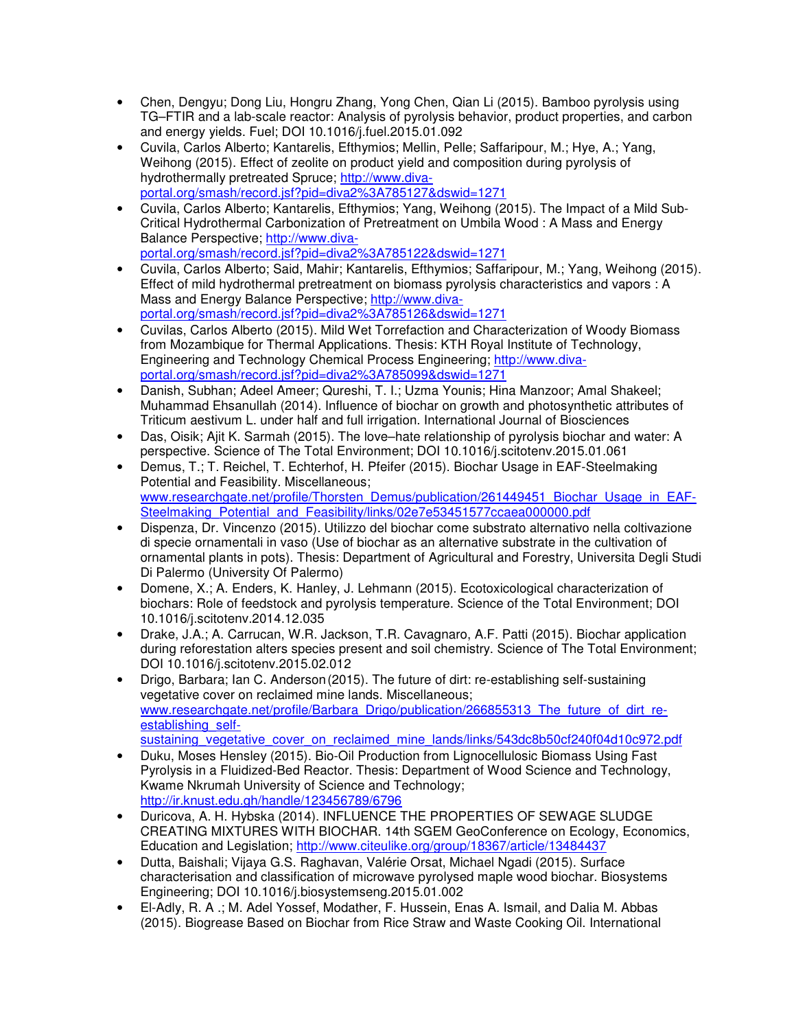- Chen, Dengyu; Dong Liu, Hongru Zhang, Yong Chen, Qian Li (2015). Bamboo pyrolysis using TG–FTIR and a lab-scale reactor: Analysis of pyrolysis behavior, product properties, and carbon and energy yields. Fuel; DOI 10.1016/j.fuel.2015.01.092
- Cuvila, Carlos Alberto; Kantarelis, Efthymios; Mellin, Pelle; Saffaripour, M.; Hye, A.; Yang, Weihong (2015). Effect of zeolite on product yield and composition during pyrolysis of hydrothermally pretreated Spruce; http://www.divaportal.org/smash/record.jsf?pid=diva2%3A785127&dswid=1271
- Cuvila, Carlos Alberto; Kantarelis, Efthymios; Yang, Weihong (2015). The Impact of a Mild Sub-Critical Hydrothermal Carbonization of Pretreatment on Umbila Wood : A Mass and Energy Balance Perspective; http://www.divaportal.org/smash/record.jsf?pid=diva2%3A785122&dswid=1271
- Cuvila, Carlos Alberto; Said, Mahir; Kantarelis, Efthymios; Saffaripour, M.; Yang, Weihong (2015). Effect of mild hydrothermal pretreatment on biomass pyrolysis characteristics and vapors : A Mass and Energy Balance Perspective; http://www.divaportal.org/smash/record.jsf?pid=diva2%3A785126&dswid=1271
- Cuvilas, Carlos Alberto (2015). Mild Wet Torrefaction and Characterization of Woody Biomass from Mozambique for Thermal Applications. Thesis: KTH Royal Institute of Technology, Engineering and Technology Chemical Process Engineering; http://www.divaportal.org/smash/record.jsf?pid=diva2%3A785099&dswid=1271
- Danish, Subhan; Adeel Ameer; Qureshi, T. I.; Uzma Younis; Hina Manzoor; Amal Shakeel; Muhammad Ehsanullah (2014). Influence of biochar on growth and photosynthetic attributes of Triticum aestivum L. under half and full irrigation. International Journal of Biosciences
- Das, Oisik; Ajit K. Sarmah (2015). The love–hate relationship of pyrolysis biochar and water: A perspective. Science of The Total Environment; DOI 10.1016/j.scitotenv.2015.01.061
- Demus, T.; T. Reichel, T. Echterhof, H. Pfeifer (2015). Biochar Usage in EAF-Steelmaking Potential and Feasibility. Miscellaneous; www.researchgate.net/profile/Thorsten\_Demus/publication/261449451\_Biochar\_Usage\_in\_EAF-Steelmaking Potential and Feasibility/links/02e7e53451577ccaea000000.pdf
- Dispenza, Dr. Vincenzo (2015). Utilizzo del biochar come substrato alternativo nella coltivazione di specie ornamentali in vaso (Use of biochar as an alternative substrate in the cultivation of ornamental plants in pots). Thesis: Department of Agricultural and Forestry, Universita Degli Studi Di Palermo (University Of Palermo)
- Domene, X.; A. Enders, K. Hanley, J. Lehmann (2015). Ecotoxicological characterization of biochars: Role of feedstock and pyrolysis temperature. Science of the Total Environment; DOI 10.1016/j.scitotenv.2014.12.035
- Drake, J.A.; A. Carrucan, W.R. Jackson, T.R. Cavagnaro, A.F. Patti (2015). Biochar application during reforestation alters species present and soil chemistry. Science of The Total Environment; DOI 10.1016/j.scitotenv.2015.02.012
- Drigo, Barbara; Ian C. Anderson (2015). The future of dirt: re-establishing self-sustaining vegetative cover on reclaimed mine lands. Miscellaneous; www.researchgate.net/profile/Barbara\_Drigo/publication/266855313\_The\_future\_of\_dirt\_reestablishing\_selfsustaining\_vegetative\_cover\_on\_reclaimed\_mine\_lands/links/543dc8b50cf240f04d10c972.pdf
- Duku, Moses Hensley (2015). Bio-Oil Production from Lignocellulosic Biomass Using Fast Pyrolysis in a Fluidized-Bed Reactor. Thesis: Department of Wood Science and Technology, Kwame Nkrumah University of Science and Technology; http://ir.knust.edu.gh/handle/123456789/6796
- Duricova, A. H. Hybska (2014). INFLUENCE THE PROPERTIES OF SEWAGE SLUDGE CREATING MIXTURES WITH BIOCHAR. 14th SGEM GeoConference on Ecology, Economics, Education and Legislation; http://www.citeulike.org/group/18367/article/13484437
- Dutta, Baishali; Vijaya G.S. Raghavan, Valérie Orsat, Michael Ngadi (2015). Surface characterisation and classification of microwave pyrolysed maple wood biochar. Biosystems Engineering; DOI 10.1016/j.biosystemseng.2015.01.002
- El-Adly, R. A .; M. Adel Yossef, Modather, F. Hussein, Enas A. Ismail, and Dalia M. Abbas (2015). Biogrease Based on Biochar from Rice Straw and Waste Cooking Oil. International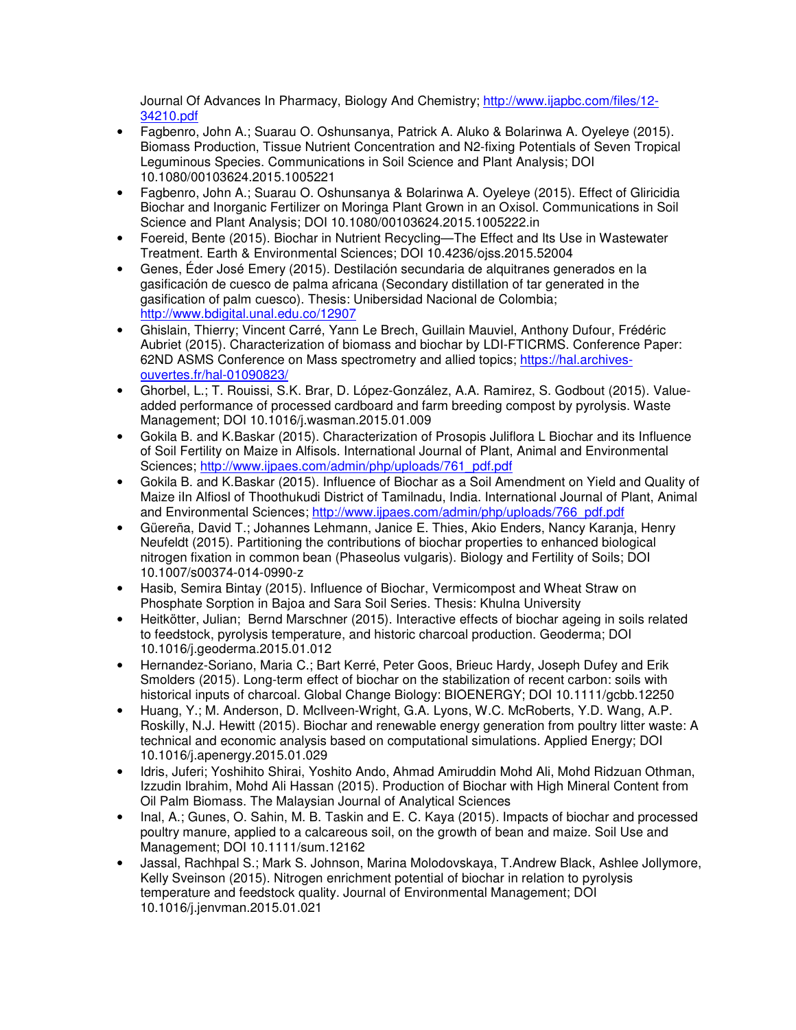Journal Of Advances In Pharmacy, Biology And Chemistry; http://www.ijapbc.com/files/12- 34210.pdf

- Fagbenro, John A.; Suarau O. Oshunsanya, Patrick A. Aluko & Bolarinwa A. Oyeleye (2015). Biomass Production, Tissue Nutrient Concentration and N2-fixing Potentials of Seven Tropical Leguminous Species. Communications in Soil Science and Plant Analysis; DOI 10.1080/00103624.2015.1005221
- Fagbenro, John A.; Suarau O. Oshunsanya & Bolarinwa A. Oyeleye (2015). Effect of Gliricidia Biochar and Inorganic Fertilizer on Moringa Plant Grown in an Oxisol. Communications in Soil Science and Plant Analysis; DOI 10.1080/00103624.2015.1005222.in
- Foereid, Bente (2015). Biochar in Nutrient Recycling—The Effect and Its Use in Wastewater Treatment. Earth & Environmental Sciences; DOI 10.4236/ojss.2015.52004
- Genes, Éder José Emery (2015). Destilación secundaria de alquitranes generados en la gasificación de cuesco de palma africana (Secondary distillation of tar generated in the gasification of palm cuesco). Thesis: Unibersidad Nacional de Colombia; http://www.bdigital.unal.edu.co/12907
- Ghislain, Thierry; Vincent Carré, Yann Le Brech, Guillain Mauviel, Anthony Dufour, Frédéric Aubriet (2015). Characterization of biomass and biochar by LDI-FTICRMS. Conference Paper: 62ND ASMS Conference on Mass spectrometry and allied topics; https://hal.archivesouvertes.fr/hal-01090823/
- Ghorbel, L.; T. Rouissi, S.K. Brar, D. López-González, A.A. Ramirez, S. Godbout (2015). Valueadded performance of processed cardboard and farm breeding compost by pyrolysis. Waste Management; DOI 10.1016/j.wasman.2015.01.009
- Gokila B. and K.Baskar (2015). Characterization of Prosopis Juliflora L Biochar and its Influence of Soil Fertility on Maize in Alfisols. International Journal of Plant, Animal and Environmental Sciences; http://www.ijpaes.com/admin/php/uploads/761\_pdf.pdf
- Gokila B. and K.Baskar (2015). Influence of Biochar as a Soil Amendment on Yield and Quality of Maize iIn Alfiosl of Thoothukudi District of Tamilnadu, India. International Journal of Plant, Animal and Environmental Sciences; http://www.ijpaes.com/admin/php/uploads/766\_pdf.pdf
- Güereña, David T.; Johannes Lehmann, Janice E. Thies, Akio Enders, Nancy Karanja, Henry Neufeldt (2015). Partitioning the contributions of biochar properties to enhanced biological nitrogen fixation in common bean (Phaseolus vulgaris). Biology and Fertility of Soils; DOI 10.1007/s00374-014-0990-z
- Hasib, Semira Bintay (2015). Influence of Biochar, Vermicompost and Wheat Straw on Phosphate Sorption in Bajoa and Sara Soil Series. Thesis: Khulna University
- Heitkötter, Julian; Bernd Marschner (2015). Interactive effects of biochar ageing in soils related to feedstock, pyrolysis temperature, and historic charcoal production. Geoderma; DOI 10.1016/j.geoderma.2015.01.012
- Hernandez-Soriano, Maria C.; Bart Kerré, Peter Goos, Brieuc Hardy, Joseph Dufey and Erik Smolders (2015). Long-term effect of biochar on the stabilization of recent carbon: soils with historical inputs of charcoal. Global Change Biology: BIOENERGY; DOI 10.1111/gcbb.12250
- Huang, Y.; M. Anderson, D. McIlveen-Wright, G.A. Lyons, W.C. McRoberts, Y.D. Wang, A.P. Roskilly, N.J. Hewitt (2015). Biochar and renewable energy generation from poultry litter waste: A technical and economic analysis based on computational simulations. Applied Energy; DOI 10.1016/j.apenergy.2015.01.029
- Idris, Juferi; Yoshihito Shirai, Yoshito Ando, Ahmad Amiruddin Mohd Ali, Mohd Ridzuan Othman, Izzudin Ibrahim, Mohd Ali Hassan (2015). Production of Biochar with High Mineral Content from Oil Palm Biomass. The Malaysian Journal of Analytical Sciences
- Inal, A.; Gunes, O. Sahin, M. B. Taskin and E. C. Kaya (2015). Impacts of biochar and processed poultry manure, applied to a calcareous soil, on the growth of bean and maize. Soil Use and Management; DOI 10.1111/sum.12162
- Jassal, Rachhpal S.; Mark S. Johnson, Marina Molodovskaya, T.Andrew Black, Ashlee Jollymore, Kelly Sveinson (2015). Nitrogen enrichment potential of biochar in relation to pyrolysis temperature and feedstock quality. Journal of Environmental Management; DOI 10.1016/j.jenvman.2015.01.021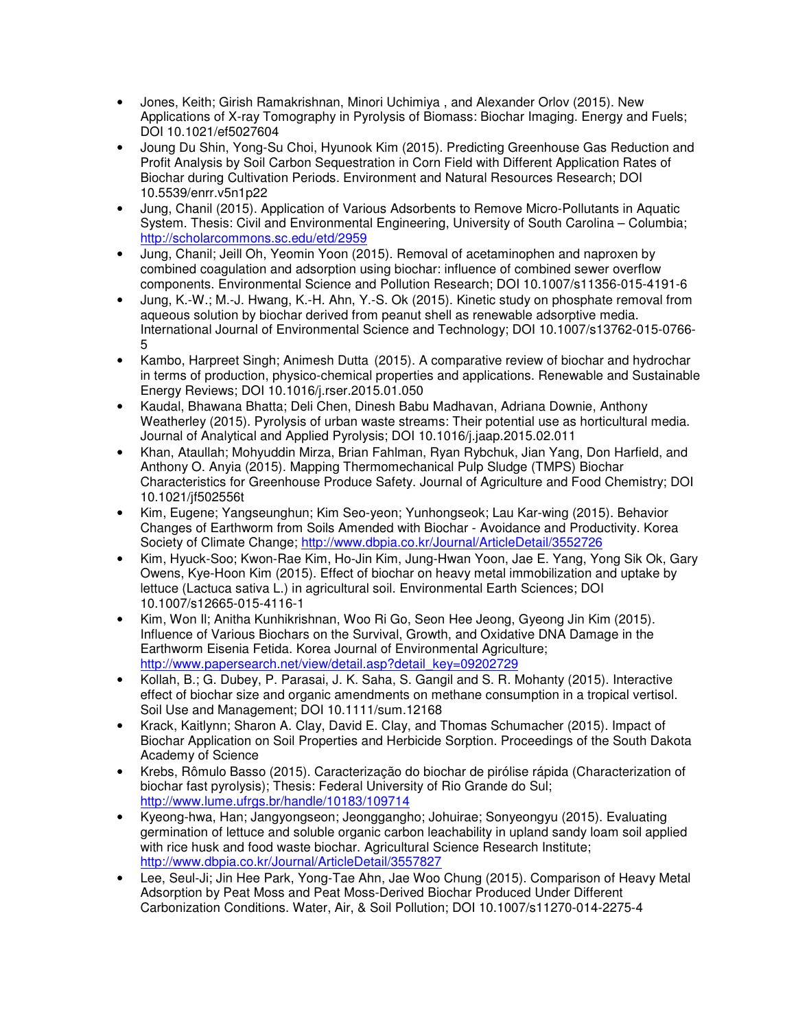- Jones, Keith; Girish Ramakrishnan, Minori Uchimiya , and Alexander Orlov (2015). New Applications of X-ray Tomography in Pyrolysis of Biomass: Biochar Imaging. Energy and Fuels; DOI 10.1021/ef5027604
- Joung Du Shin, Yong-Su Choi, Hyunook Kim (2015). Predicting Greenhouse Gas Reduction and Profit Analysis by Soil Carbon Sequestration in Corn Field with Different Application Rates of Biochar during Cultivation Periods. Environment and Natural Resources Research; DOI 10.5539/enrr.v5n1p22
- Jung, Chanil (2015). Application of Various Adsorbents to Remove Micro-Pollutants in Aquatic System. Thesis: Civil and Environmental Engineering, University of South Carolina – Columbia; http://scholarcommons.sc.edu/etd/2959
- Jung, Chanil; Jeill Oh, Yeomin Yoon (2015). Removal of acetaminophen and naproxen by combined coagulation and adsorption using biochar: influence of combined sewer overflow components. Environmental Science and Pollution Research; DOI 10.1007/s11356-015-4191-6
- Jung, K.-W.; M.-J. Hwang, K.-H. Ahn, Y.-S. Ok (2015). Kinetic study on phosphate removal from aqueous solution by biochar derived from peanut shell as renewable adsorptive media. International Journal of Environmental Science and Technology; DOI 10.1007/s13762-015-0766- 5
- Kambo, Harpreet Singh; Animesh Dutta (2015). A comparative review of biochar and hydrochar in terms of production, physico-chemical properties and applications. Renewable and Sustainable Energy Reviews; DOI 10.1016/j.rser.2015.01.050
- Kaudal, Bhawana Bhatta; Deli Chen, Dinesh Babu Madhavan, Adriana Downie, Anthony Weatherley (2015). Pyrolysis of urban waste streams: Their potential use as horticultural media. Journal of Analytical and Applied Pyrolysis; DOI 10.1016/j.jaap.2015.02.011
- Khan, Ataullah; Mohyuddin Mirza, Brian Fahlman, Ryan Rybchuk, Jian Yang, Don Harfield, and Anthony O. Anyia (2015). Mapping Thermomechanical Pulp Sludge (TMPS) Biochar Characteristics for Greenhouse Produce Safety. Journal of Agriculture and Food Chemistry; DOI 10.1021/jf502556t
- Kim, Eugene; Yangseunghun; Kim Seo-yeon; Yunhongseok; Lau Kar-wing (2015). Behavior Changes of Earthworm from Soils Amended with Biochar - Avoidance and Productivity. Korea Society of Climate Change; http://www.dbpia.co.kr/Journal/ArticleDetail/3552726
- Kim, Hyuck-Soo; Kwon-Rae Kim, Ho-Jin Kim, Jung-Hwan Yoon, Jae E. Yang, Yong Sik Ok, Gary Owens, Kye-Hoon Kim (2015). Effect of biochar on heavy metal immobilization and uptake by lettuce (Lactuca sativa L.) in agricultural soil. Environmental Earth Sciences; DOI 10.1007/s12665-015-4116-1
- Kim, Won Il; Anitha Kunhikrishnan, Woo Ri Go, Seon Hee Jeong, Gyeong Jin Kim (2015). Influence of Various Biochars on the Survival, Growth, and Oxidative DNA Damage in the Earthworm Eisenia Fetida. Korea Journal of Environmental Agriculture; http://www.papersearch.net/view/detail.asp?detail\_key=09202729
- Kollah, B.; G. Dubey, P. Parasai, J. K. Saha, S. Gangil and S. R. Mohanty (2015). Interactive effect of biochar size and organic amendments on methane consumption in a tropical vertisol. Soil Use and Management; DOI 10.1111/sum.12168
- Krack, Kaitlynn; Sharon A. Clay, David E. Clay, and Thomas Schumacher (2015). Impact of Biochar Application on Soil Properties and Herbicide Sorption. Proceedings of the South Dakota Academy of Science
- Krebs, Rômulo Basso (2015). Caracterização do biochar de pirólise rápida (Characterization of biochar fast pyrolysis); Thesis: Federal University of Rio Grande do Sul; http://www.lume.ufrgs.br/handle/10183/109714
- Kyeong-hwa, Han; Jangyongseon; Jeonggangho; Johuirae; Sonyeongyu (2015). Evaluating germination of lettuce and soluble organic carbon leachability in upland sandy loam soil applied with rice husk and food waste biochar. Agricultural Science Research Institute; http://www.dbpia.co.kr/Journal/ArticleDetail/3557827
- Lee, Seul-Ji; Jin Hee Park, Yong-Tae Ahn, Jae Woo Chung (2015). Comparison of Heavy Metal Adsorption by Peat Moss and Peat Moss-Derived Biochar Produced Under Different Carbonization Conditions. Water, Air, & Soil Pollution; DOI 10.1007/s11270-014-2275-4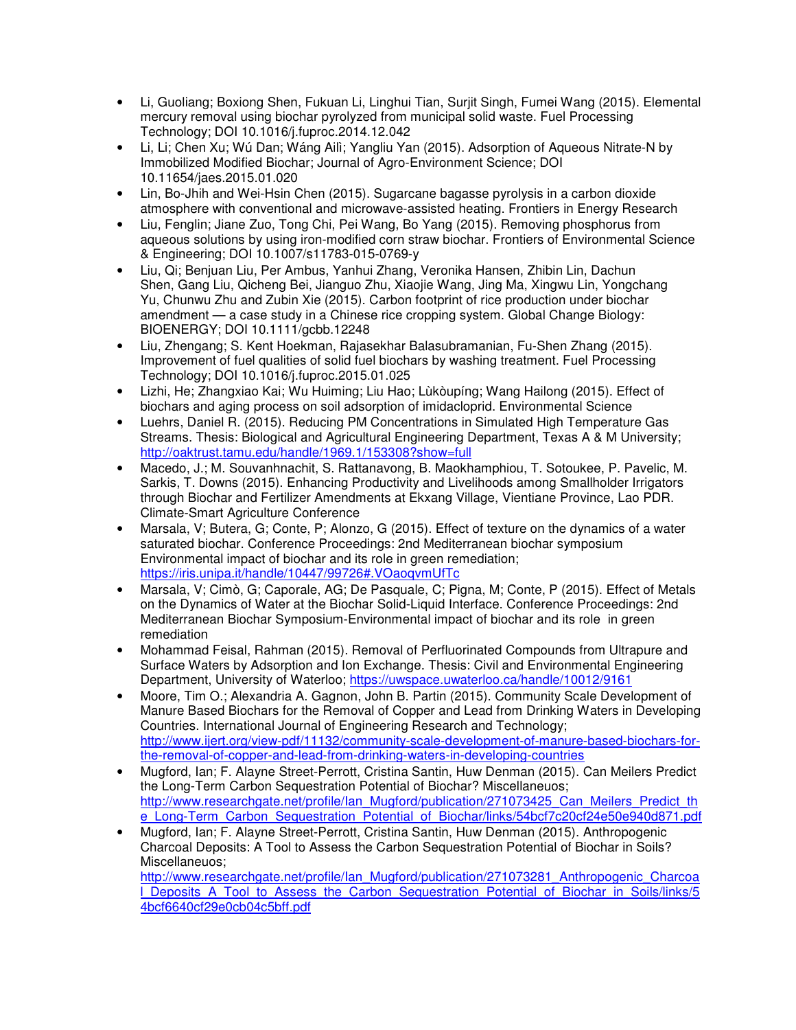- Li, Guoliang; Boxiong Shen, Fukuan Li, Linghui Tian, Surjit Singh, Fumei Wang (2015). Elemental mercury removal using biochar pyrolyzed from municipal solid waste. Fuel Processing Technology; DOI 10.1016/j.fuproc.2014.12.042
- Li, Li; Chen Xu; Wú Dan; Wáng Ailì; Yangliu Yan (2015). Adsorption of Aqueous Nitrate-N by Immobilized Modified Biochar; Journal of Agro-Environment Science; DOI 10.11654/jaes.2015.01.020
- Lin, Bo-Jhih and Wei-Hsin Chen (2015). Sugarcane bagasse pyrolysis in a carbon dioxide atmosphere with conventional and microwave-assisted heating. Frontiers in Energy Research
- Liu, Fenglin; Jiane Zuo, Tong Chi, Pei Wang, Bo Yang (2015). Removing phosphorus from aqueous solutions by using iron-modified corn straw biochar. Frontiers of Environmental Science & Engineering; DOI 10.1007/s11783-015-0769-y
- Liu, Qi; Benjuan Liu, Per Ambus, Yanhui Zhang, Veronika Hansen, Zhibin Lin, Dachun Shen, Gang Liu, Qicheng Bei, Jianguo Zhu, Xiaojie Wang, Jing Ma, Xingwu Lin, Yongchang Yu, Chunwu Zhu and Zubin Xie (2015). Carbon footprint of rice production under biochar amendment — a case study in a Chinese rice cropping system. Global Change Biology: BIOENERGY; DOI 10.1111/gcbb.12248
- Liu, Zhengang; S. Kent Hoekman, Rajasekhar Balasubramanian, Fu-Shen Zhang (2015). Improvement of fuel qualities of solid fuel biochars by washing treatment. Fuel Processing Technology; DOI 10.1016/j.fuproc.2015.01.025
- Lizhi, He; Zhangxiao Kai; Wu Huiming; Liu Hao; Lùkòupíng; Wang Hailong (2015). Effect of biochars and aging process on soil adsorption of imidacloprid. Environmental Science
- Luehrs, Daniel R. (2015). Reducing PM Concentrations in Simulated High Temperature Gas Streams. Thesis: Biological and Agricultural Engineering Department, Texas A & M University; http://oaktrust.tamu.edu/handle/1969.1/153308?show=full
- Macedo, J.; M. Souvanhnachit, S. Rattanavong, B. Maokhamphiou, T. Sotoukee, P. Pavelic, M. Sarkis, T. Downs (2015). Enhancing Productivity and Livelihoods among Smallholder Irrigators through Biochar and Fertilizer Amendments at Ekxang Village, Vientiane Province, Lao PDR. Climate-Smart Agriculture Conference
- Marsala, V; Butera, G; Conte, P; Alonzo, G (2015). Effect of texture on the dynamics of a water saturated biochar. Conference Proceedings: 2nd Mediterranean biochar symposium Environmental impact of biochar and its role in green remediation; https://iris.unipa.it/handle/10447/99726#.VOaoqvmUfTc
- Marsala, V; Cimò, G; Caporale, AG; De Pasquale, C; Pigna, M; Conte, P (2015). Effect of Metals on the Dynamics of Water at the Biochar Solid-Liquid Interface. Conference Proceedings: 2nd Mediterranean Biochar Symposium-Environmental impact of biochar and its role in green remediation
- Mohammad Feisal, Rahman (2015). Removal of Perfluorinated Compounds from Ultrapure and Surface Waters by Adsorption and Ion Exchange. Thesis: Civil and Environmental Engineering Department, University of Waterloo; https://uwspace.uwaterloo.ca/handle/10012/9161
- Moore, Tim O.; Alexandria A. Gagnon, John B. Partin (2015). Community Scale Development of Manure Based Biochars for the Removal of Copper and Lead from Drinking Waters in Developing Countries. International Journal of Engineering Research and Technology; http://www.ijert.org/view-pdf/11132/community-scale-development-of-manure-based-biochars-forthe-removal-of-copper-and-lead-from-drinking-waters-in-developing-countries
- Mugford, Ian; F. Alayne Street-Perrott, Cristina Santin, Huw Denman (2015). Can Meilers Predict the Long-Term Carbon Sequestration Potential of Biochar? Miscellaneuos; http://www.researchgate.net/profile/Ian\_Mugford/publication/271073425\_Can\_Meilers\_Predict\_th e\_Long-Term\_Carbon\_Sequestration\_Potential\_of\_Biochar/links/54bcf7c20cf24e50e940d871.pdf
- Mugford, Ian; F. Alayne Street-Perrott, Cristina Santin, Huw Denman (2015). Anthropogenic Charcoal Deposits: A Tool to Assess the Carbon Sequestration Potential of Biochar in Soils? Miscellaneuos;

http://www.researchgate.net/profile/Ian\_Mugford/publication/271073281\_Anthropogenic\_Charcoa l Deposits A Tool to Assess the Carbon Sequestration Potential of Biochar in Soils/links/5 4bcf6640cf29e0cb04c5bff.pdf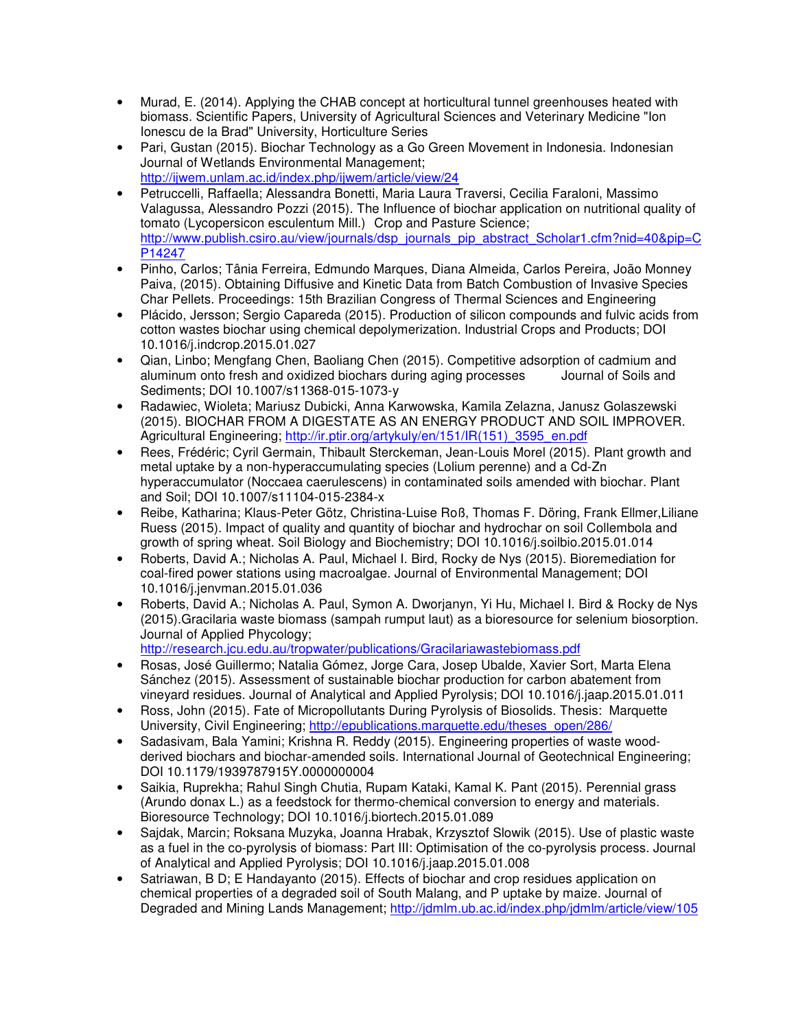- Murad, E. (2014). Applying the CHAB concept at horticultural tunnel greenhouses heated with biomass. Scientific Papers, University of Agricultural Sciences and Veterinary Medicine "Ion Ionescu de la Brad" University, Horticulture Series
- Pari, Gustan (2015). Biochar Technology as a Go Green Movement in Indonesia. Indonesian Journal of Wetlands Environmental Management; http://ijwem.unlam.ac.id/index.php/ijwem/article/view/24
- Petruccelli, Raffaella; Alessandra Bonetti, Maria Laura Traversi, Cecilia Faraloni, Massimo Valagussa, Alessandro Pozzi (2015). The Influence of biochar application on nutritional quality of tomato (Lycopersicon esculentum Mill.) Crop and Pasture Science; http://www.publish.csiro.au/view/journals/dsp\_journals\_pip\_abstract\_Scholar1.cfm?nid=40&pip=C P14247
- Pinho, Carlos; Tânia Ferreira, Edmundo Marques, Diana Almeida, Carlos Pereira, João Monney Paiva, (2015). Obtaining Diffusive and Kinetic Data from Batch Combustion of Invasive Species Char Pellets. Proceedings: 15th Brazilian Congress of Thermal Sciences and Engineering
- Plácido, Jersson; Sergio Capareda (2015). Production of silicon compounds and fulvic acids from cotton wastes biochar using chemical depolymerization. Industrial Crops and Products; DOI 10.1016/j.indcrop.2015.01.027
- Qian, Linbo; Mengfang Chen, Baoliang Chen (2015). Competitive adsorption of cadmium and aluminum onto fresh and oxidized biochars during aging processes Journal of Soils and Sediments; DOI 10.1007/s11368-015-1073-y
- Radawiec, Wioleta; Mariusz Dubicki, Anna Karwowska, Kamila Zelazna, Janusz Golaszewski (2015). BIOCHAR FROM A DIGESTATE AS AN ENERGY PRODUCT AND SOIL IMPROVER. Agricultural Engineering; http://ir.ptir.org/artykuly/en/151/IR(151) 3595 en.pdf
- Rees, Frédéric; Cyril Germain, Thibault Sterckeman, Jean-Louis Morel (2015). Plant growth and metal uptake by a non-hyperaccumulating species (Lolium perenne) and a Cd-Zn hyperaccumulator (Noccaea caerulescens) in contaminated soils amended with biochar. Plant and Soil; DOI 10.1007/s11104-015-2384-x
- Reibe, Katharina; Klaus-Peter Götz, Christina-Luise Roß, Thomas F. Döring, Frank Ellmer,Liliane Ruess (2015). Impact of quality and quantity of biochar and hydrochar on soil Collembola and growth of spring wheat. Soil Biology and Biochemistry; DOI 10.1016/j.soilbio.2015.01.014
- Roberts, David A.; Nicholas A. Paul, Michael I. Bird, Rocky de Nys (2015). Bioremediation for coal-fired power stations using macroalgae. Journal of Environmental Management; DOI 10.1016/j.jenvman.2015.01.036
- Roberts, David A.; Nicholas A. Paul, Symon A. Dworjanyn, Yi Hu, Michael I. Bird & Rocky de Nys (2015).Gracilaria waste biomass (sampah rumput laut) as a bioresource for selenium biosorption. Journal of Applied Phycology;

http://research.jcu.edu.au/tropwater/publications/Gracilariawastebiomass.pdf

- Rosas, José Guillermo; Natalia Gómez, Jorge Cara, Josep Ubalde, Xavier Sort, Marta Elena Sánchez (2015). Assessment of sustainable biochar production for carbon abatement from vineyard residues. Journal of Analytical and Applied Pyrolysis; DOI 10.1016/j.jaap.2015.01.011
- Ross, John (2015). Fate of Micropollutants During Pyrolysis of Biosolids. Thesis: Marquette University, Civil Engineering; http://epublications.marquette.edu/theses\_open/286/
- Sadasivam, Bala Yamini; Krishna R. Reddy (2015). Engineering properties of waste woodderived biochars and biochar-amended soils. International Journal of Geotechnical Engineering; DOI 10.1179/1939787915Y.0000000004
- Saikia, Ruprekha; Rahul Singh Chutia, Rupam Kataki, Kamal K. Pant (2015). Perennial grass (Arundo donax L.) as a feedstock for thermo-chemical conversion to energy and materials. Bioresource Technology; DOI 10.1016/j.biortech.2015.01.089
- Sajdak, Marcin; Roksana Muzyka, Joanna Hrabak, Krzysztof Slowik (2015). Use of plastic waste as a fuel in the co-pyrolysis of biomass: Part III: Optimisation of the co-pyrolysis process. Journal of Analytical and Applied Pyrolysis; DOI 10.1016/j.jaap.2015.01.008
- Satriawan, B D; E Handayanto (2015). Effects of biochar and crop residues application on chemical properties of a degraded soil of South Malang, and P uptake by maize. Journal of Degraded and Mining Lands Management; http://jdmlm.ub.ac.id/index.php/jdmlm/article/view/105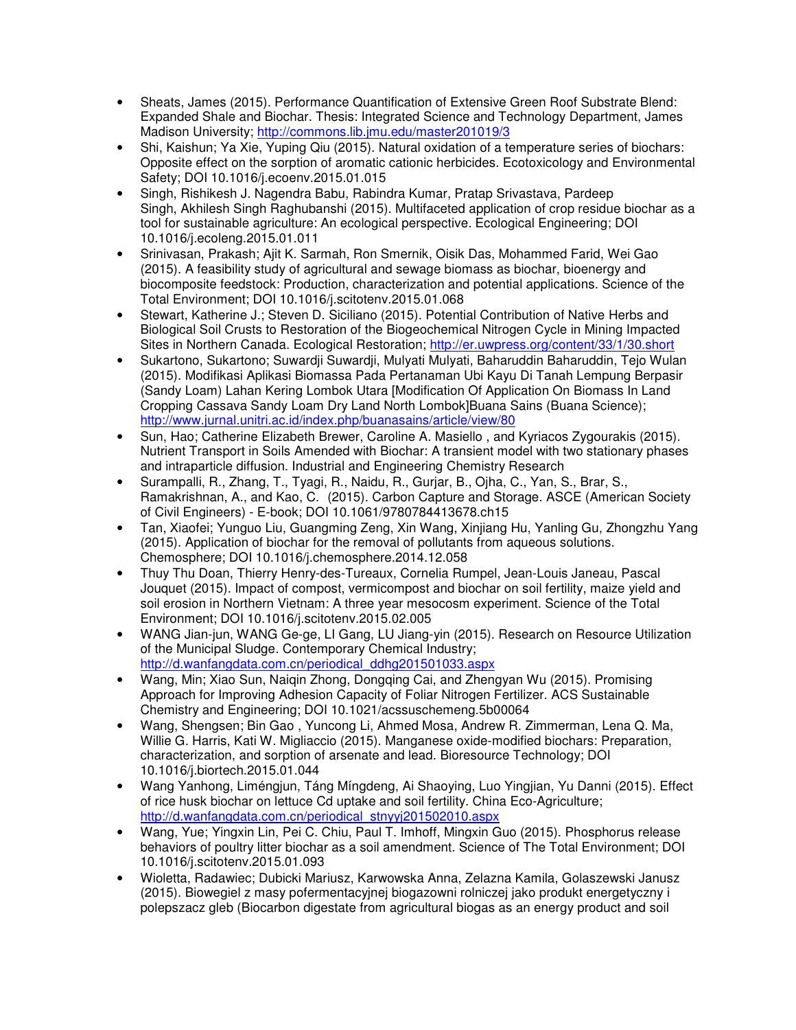- Sheats, James (2015). Performance Quantification of Extensive Green Roof Substrate Blend: Expanded Shale and Biochar. Thesis: Integrated Science and Technology Department, James Madison University; http://commons.lib.jmu.edu/master201019/3
- Shi, Kaishun; Ya Xie, Yuping Qiu (2015). Natural oxidation of a temperature series of biochars: Opposite effect on the sorption of aromatic cationic herbicides. Ecotoxicology and Environmental Safety; DOI 10.1016/j.ecoenv.2015.01.015
- Singh, Rishikesh J. Nagendra Babu, Rabindra Kumar, Pratap Srivastava, Pardeep Singh, Akhilesh Singh Raghubanshi (2015). Multifaceted application of crop residue biochar as a tool for sustainable agriculture: An ecological perspective. Ecological Engineering; DOI 10.1016/j.ecoleng.2015.01.011
- Srinivasan, Prakash; Ajit K. Sarmah, Ron Smernik, Oisik Das, Mohammed Farid, Wei Gao (2015). A feasibility study of agricultural and sewage biomass as biochar, bioenergy and biocomposite feedstock: Production, characterization and potential applications. Science of the Total Environment; DOI 10.1016/j.scitotenv.2015.01.068
- Stewart, Katherine J.; Steven D. Siciliano (2015). Potential Contribution of Native Herbs and Biological Soil Crusts to Restoration of the Biogeochemical Nitrogen Cycle in Mining Impacted Sites in Northern Canada. Ecological Restoration; http://er.uwpress.org/content/33/1/30.short
- Sukartono, Sukartono; Suwardji Suwardji, Mulyati Mulyati, Baharuddin Baharuddin, Tejo Wulan (2015). Modifikasi Aplikasi Biomassa Pada Pertanaman Ubi Kayu Di Tanah Lempung Berpasir (Sandy Loam) Lahan Kering Lombok Utara [Modification Of Application On Biomass In Land Cropping Cassava Sandy Loam Dry Land North Lombok]Buana Sains (Buana Science); http://www.jurnal.unitri.ac.id/index.php/buanasains/article/view/80
- Sun, Hao; Catherine Elizabeth Brewer, Caroline A. Masiello , and Kyriacos Zygourakis (2015). Nutrient Transport in Soils Amended with Biochar: A transient model with two stationary phases and intraparticle diffusion. Industrial and Engineering Chemistry Research
- Surampalli, R., Zhang, T., Tyagi, R., Naidu, R., Gurjar, B., Ojha, C., Yan, S., Brar, S., Ramakrishnan, A., and Kao, C. (2015). Carbon Capture and Storage. ASCE (American Society of Civil Engineers) - E-book; DOI 10.1061/9780784413678.ch15
- Tan, Xiaofei; Yunguo Liu, Guangming Zeng, Xin Wang, Xinjiang Hu, Yanling Gu, Zhongzhu Yang (2015). Application of biochar for the removal of pollutants from aqueous solutions. Chemosphere; DOI 10.1016/j.chemosphere.2014.12.058
- Thuy Thu Doan, Thierry Henry-des-Tureaux, Cornelia Rumpel, Jean-Louis Janeau, Pascal Jouquet (2015). Impact of compost, vermicompost and biochar on soil fertility, maize yield and soil erosion in Northern Vietnam: A three year mesocosm experiment. Science of the Total Environment; DOI 10.1016/j.scitotenv.2015.02.005
- WANG Jian-jun, WANG Ge-ge, LI Gang, LU Jiang-yin (2015). Research on Resource Utilization of the Municipal Sludge. Contemporary Chemical Industry; http://d.wanfangdata.com.cn/periodical\_ddhg201501033.aspx
- Wang, Min; Xiao Sun, Naiqin Zhong, Dongqing Cai, and Zhengyan Wu (2015). Promising Approach for Improving Adhesion Capacity of Foliar Nitrogen Fertilizer. ACS Sustainable Chemistry and Engineering; DOI 10.1021/acssuschemeng.5b00064
- Wang, Shengsen; Bin Gao , Yuncong Li, Ahmed Mosa, Andrew R. Zimmerman, Lena Q. Ma, Willie G. Harris, Kati W. Migliaccio (2015). Manganese oxide-modified biochars: Preparation, characterization, and sorption of arsenate and lead. Bioresource Technology; DOI 10.1016/j.biortech.2015.01.044
- Wang Yanhong, Liméngjun, Táng Míngdeng, Ai Shaoying, Luo Yingjian, Yu Danni (2015). Effect of rice husk biochar on lettuce Cd uptake and soil fertility. China Eco-Agriculture; http://d.wanfangdata.com.cn/periodical\_stnyyj201502010.aspx
- Wang, Yue; Yingxin Lin, Pei C. Chiu, Paul T. Imhoff, Mingxin Guo (2015). Phosphorus release behaviors of poultry litter biochar as a soil amendment. Science of The Total Environment; DOI 10.1016/j.scitotenv.2015.01.093
- Wioletta, Radawiec; Dubicki Mariusz, Karwowska Anna, Zelazna Kamila, Golaszewski Janusz (2015). Biowegiel z masy pofermentacyjnej biogazowni rolniczej jako produkt energetyczny i polepszacz gleb (Biocarbon digestate from agricultural biogas as an energy product and soil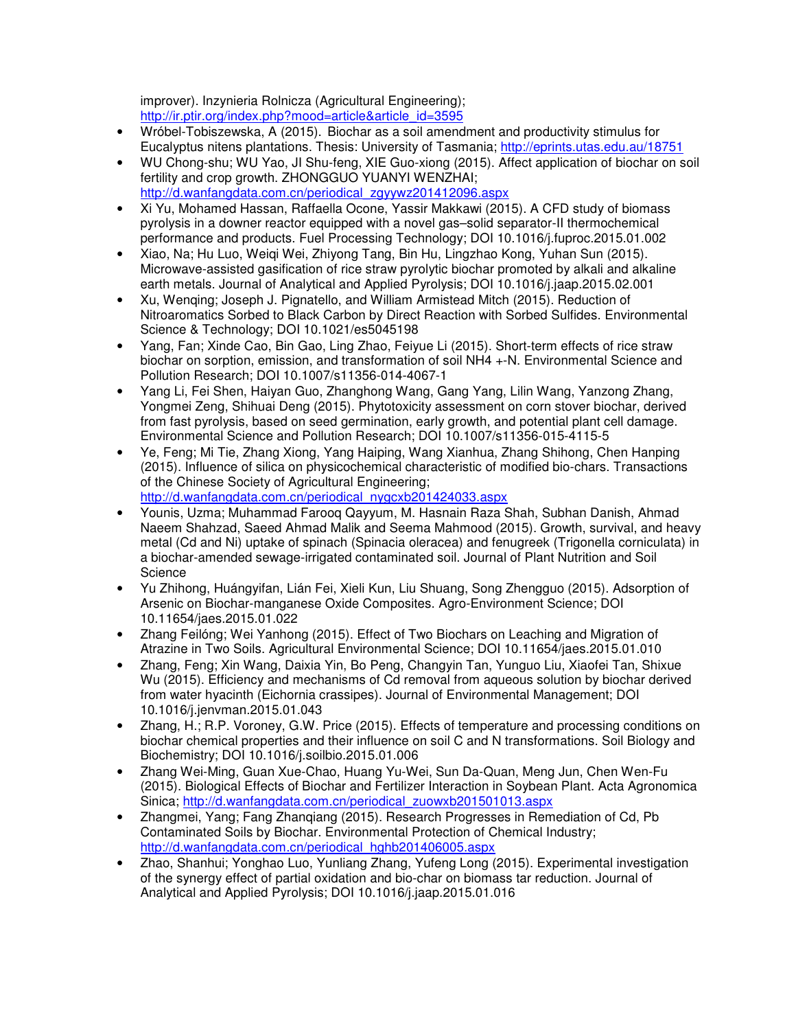improver). Inzynieria Rolnicza (Agricultural Engineering); http://ir.ptir.org/index.php?mood=article&article\_id=3595

- Wróbel-Tobiszewska, A (2015). Biochar as a soil amendment and productivity stimulus for Eucalyptus nitens plantations. Thesis: University of Tasmania; http://eprints.utas.edu.au/18751
- WU Chong-shu; WU Yao, JI Shu-feng, XIE Guo-xiong (2015). Affect application of biochar on soil fertility and crop growth. ZHONGGUO YUANYI WENZHAI; http://d.wanfangdata.com.cn/periodical\_zgyywz201412096.aspx
- Xi Yu, Mohamed Hassan, Raffaella Ocone, Yassir Makkawi (2015). A CFD study of biomass pyrolysis in a downer reactor equipped with a novel gas–solid separator-II thermochemical performance and products. Fuel Processing Technology; DOI 10.1016/j.fuproc.2015.01.002
- Xiao, Na; Hu Luo, Weiqi Wei, Zhiyong Tang, Bin Hu, Lingzhao Kong, Yuhan Sun (2015). Microwave-assisted gasification of rice straw pyrolytic biochar promoted by alkali and alkaline earth metals. Journal of Analytical and Applied Pyrolysis; DOI 10.1016/j.jaap.2015.02.001
- Xu, Wenqing; Joseph J. Pignatello, and William Armistead Mitch (2015). Reduction of Nitroaromatics Sorbed to Black Carbon by Direct Reaction with Sorbed Sulfides. Environmental Science & Technology; DOI 10.1021/es5045198
- Yang, Fan; Xinde Cao, Bin Gao, Ling Zhao, Feiyue Li (2015). Short-term effects of rice straw biochar on sorption, emission, and transformation of soil NH4 +-N. Environmental Science and Pollution Research; DOI 10.1007/s11356-014-4067-1
- Yang Li, Fei Shen, Haiyan Guo, Zhanghong Wang, Gang Yang, Lilin Wang, Yanzong Zhang, Yongmei Zeng, Shihuai Deng (2015). Phytotoxicity assessment on corn stover biochar, derived from fast pyrolysis, based on seed germination, early growth, and potential plant cell damage. Environmental Science and Pollution Research; DOI 10.1007/s11356-015-4115-5
- Ye, Feng; Mi Tie, Zhang Xiong, Yang Haiping, Wang Xianhua, Zhang Shihong, Chen Hanping (2015). Influence of silica on physicochemical characteristic of modified bio-chars. Transactions of the Chinese Society of Agricultural Engineering; http://d.wanfangdata.com.cn/periodical\_nygcxb201424033.aspx
- Younis, Uzma; Muhammad Farooq Qayyum, M. Hasnain Raza Shah, Subhan Danish, Ahmad Naeem Shahzad, Saeed Ahmad Malik and Seema Mahmood (2015). Growth, survival, and heavy metal (Cd and Ni) uptake of spinach (Spinacia oleracea) and fenugreek (Trigonella corniculata) in a biochar-amended sewage-irrigated contaminated soil. Journal of Plant Nutrition and Soil **Science**
- Yu Zhihong, Huángyifan, Lián Fei, Xieli Kun, Liu Shuang, Song Zhengguo (2015). Adsorption of Arsenic on Biochar-manganese Oxide Composites. Agro-Environment Science; DOI 10.11654/jaes.2015.01.022
- Zhang Feilóng; Wei Yanhong (2015). Effect of Two Biochars on Leaching and Migration of Atrazine in Two Soils. Agricultural Environmental Science; DOI 10.11654/jaes.2015.01.010
- Zhang, Feng; Xin Wang, Daixia Yin, Bo Peng, Changyin Tan, Yunguo Liu, Xiaofei Tan, Shixue Wu (2015). Efficiency and mechanisms of Cd removal from aqueous solution by biochar derived from water hyacinth (Eichornia crassipes). Journal of Environmental Management; DOI 10.1016/j.jenvman.2015.01.043
- Zhang, H.; R.P. Voroney, G.W. Price (2015). Effects of temperature and processing conditions on biochar chemical properties and their influence on soil C and N transformations. Soil Biology and Biochemistry; DOI 10.1016/j.soilbio.2015.01.006
- Zhang Wei-Ming, Guan Xue-Chao, Huang Yu-Wei, Sun Da-Quan, Meng Jun, Chen Wen-Fu (2015). Biological Effects of Biochar and Fertilizer Interaction in Soybean Plant. Acta Agronomica Sinica; http://d.wanfangdata.com.cn/periodical\_zuowxb201501013.aspx
- Zhangmei, Yang; Fang Zhanqiang (2015). Research Progresses in Remediation of Cd, Pb Contaminated Soils by Biochar. Environmental Protection of Chemical Industry; http://d.wanfangdata.com.cn/periodical\_hghb201406005.aspx
- Zhao, Shanhui; Yonghao Luo, Yunliang Zhang, Yufeng Long (2015). Experimental investigation of the synergy effect of partial oxidation and bio-char on biomass tar reduction. Journal of Analytical and Applied Pyrolysis; DOI 10.1016/j.jaap.2015.01.016